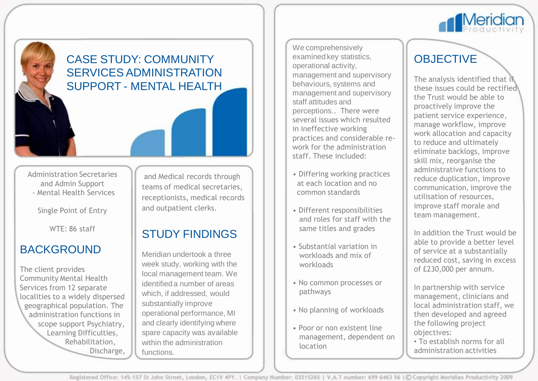

## CASE STUDY: COMMUNITY SERVICES ADMINISTRATION SUPPORT - MENTAL HEALTH

Administration Secretaries and Admin Support - Mental Health Services

Single Point of Entry

WTE: 86 staff

### BACKGROUND

The client provides Community Mental Health Services from 12 separate localities to a widely dispersed geographical population. The administration functions in scope support Psychiatry, Learning Difficulties, Rehabilitation, Discharge,

and Medical records through teams of medical secretaries, receptionists, medical records and outpatient clerks.

# STUDY FINDINGS

Meridian undertook a three week study, working with the local management team. We identified a number of areas which, if addressed, would substantially improve operational performance, MI and clearly identifying where spare capacity was available within the administration functions.

We comprehensively examined key statistics, operational activity, management and supervisory behaviours, systems and management and supervisory staff attitudes and perceptions.. There were several issues which resulted in ineffective working practices and considerable rework for the administration staff. These included:

- Differing working practices at each location and no common standards
- Different responsibilities and roles for staff with the same titles and grades
- Substantial variation in workloads and mix of workloads
- No common processes or pathways
- No planning of workloads
- Poor or non existent line management, dependent on location

# **OBJECTIVE**

The analysis identified that if these issues could be rectified the Trust would be able to proactively improve the patient service experience, manage workflow, improve work allocation and capacity to reduce and ultimately eliminate backlogs, improve skill mix, reorganise the administrative functions to reduce duplication, improve communication, improve the utilisation of resources, improve staff morale and team management.

In addition the Trust would be able to provide a better level of service at a substantially reduced cost, saving in excess of £230,000 per annum.

In partnership with service management, clinicians and local administration staff, we then developed and agreed the following project objectives:

• To establish norms for all administration activities

Registered Office: 145-157 St John Street, London, EC1V 4PY. | Company Number: 03515265 | V.A.T number: 699 6463 56 | C Copyright Meridian Productivity 2009